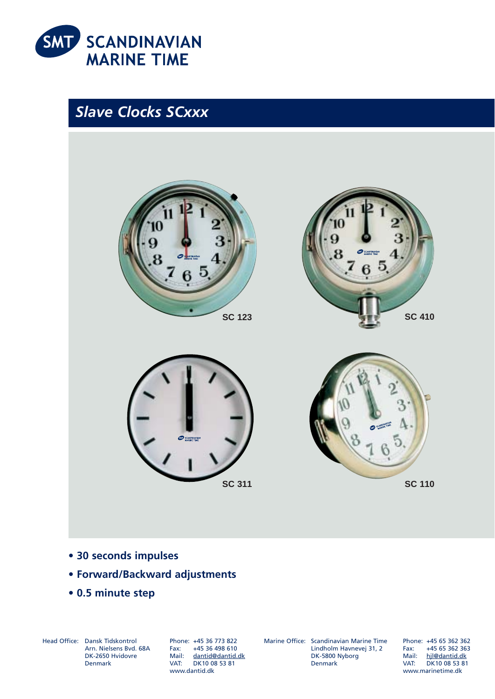

*Slave Clocks SCxxx*







**SC 311 SC 110** 

- **30 seconds impulses**
- **Forward/Backward adjustments**
- **0.5 minute step**

Head Office: Dansk Tidskontrol Arn. Nielsens Bvd. 68A DK-2650 Hvidovre Denmark

Phone: +45 36 773 822 Fax: +45 36 498 610 Mail: dantid@dantid.dk VAT: DK10 08 53 81 www.dantid.dk

Marine Office: Scandinavian Marine Time Lindholm Havnevej 31, 2 DK-5800 Nyborg Denmark

Phone: +45 65 362 362 Fax: +45 65 362 363 Mail: hjl@dantid.dk VAT: DK10 08 53 81 www.marinetime.dk